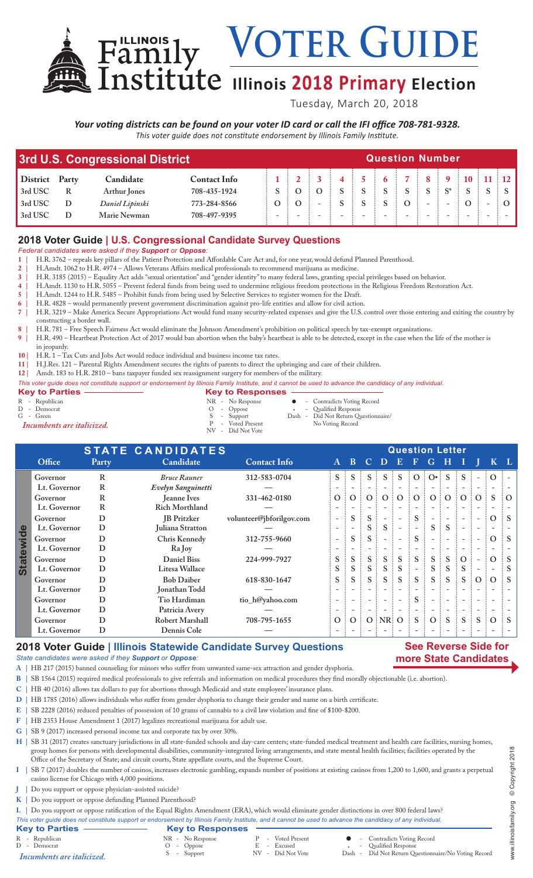VOTER GUIDE **Family VOIEK GUIDE**<br> **Institute** Illinois 2018 Primary Election

Tuesday, March 20, 2018

### *Your voting districts can be found on your voter ID card or call the IFI office 708-781-9328. This voter guide does not constitute endorsement by Illinois Family Institute.*

| 3rd U.S. Congressional District |       |                     |                     |   | <b>Question Number</b> |  |  |  |  |  |  |  |  |  |  |  |  |  |
|---------------------------------|-------|---------------------|---------------------|---|------------------------|--|--|--|--|--|--|--|--|--|--|--|--|--|
| <b>District</b>                 | Party | Candidate           | <b>Contact Info</b> |   |                        |  |  |  |  |  |  |  |  |  |  |  |  |  |
| 3rd USC                         |       | <b>Arthur Jones</b> | 708-435-1924        |   |                        |  |  |  |  |  |  |  |  |  |  |  |  |  |
| 3rd USC                         |       | Daniel Lipinski     | 773-284-8566        | O |                        |  |  |  |  |  |  |  |  |  |  |  |  |  |
| 3rd USC                         |       | Marie Newman        | 708-497-9395        |   |                        |  |  |  |  |  |  |  |  |  |  |  |  |  |

# **2018 Voter Guide | U.S. Congressional Candidate Survey Questions**

*Federal candidates were asked if they Support or Oppose:*

**1 |** H.R. 3762 – repeals key pillars of the Patient Protection and Affordable Care Act and, for one year, would defund Planned Parenthood.

**2 |** H.Amdt. 1062 to H.R. 4974 – Allows Veterans Affairs medical professionals to recommend marijuana as medicine.

**3 |** H.R. 3185 (2015) – Equality Act adds "sexual orientation" and "gender identity" to many federal laws, granting special privileges based on behavior.

**4 |** H.Amdt. 1130 to H.R. 5055 – Prevent federal funds from being used to undermine religious freedom protections in the Religious Freedom Restoration Act.

**5 |** H.Amdt. 1244 to H.R. 5485 – Prohibit funds from being used by Selective Services to register women for the Draft.

**6 |** H.R. 4828 – would permanently prevent government discrimination against pro-life entities and allow for civil action. **7 |** H.R. 3219 – Make America Secure Appropriations Act would fund many security-related expenses and give the U.S. control over those entering and exiting the country by

constructing a border wall.

**8 |** H.R. 781 – Free Speech Fairness Act would eliminate the Johnson Amendment's prohibition on political speech by tax-exempt organizations. **9 |** H.R. 490 – Heartbeat Protection Act of 2017 would ban abortion when the baby's heartbeat is able to be detected, except in the case when the life of the mother is

in jeopardy.

10 | H.R. 1 – Tax Cuts and Jobs Act would reduce individual and business income tax rates.<br>11 | H.I.Res. 121 – Parental Rights Amendment secures the rights of parents to direct the u

**11 |** H.J.Res. 121 – Parental Rights Amendment secures the rights of parents to direct the upbringing and care of their children.

**12 |** Amdt. 183 to H.R. 2810 – bans taxpayer funded sex reassignment surgery for members of the military.

| This voter guide does not constitute support or endorsement by Illinois Family Institute, and it cannot be used to advance the candidacy of any individual. |                           |  |                                      |  |  |  |  |  |  |  |
|-------------------------------------------------------------------------------------------------------------------------------------------------------------|---------------------------|--|--------------------------------------|--|--|--|--|--|--|--|
| <b>Key to Parties -</b>                                                                                                                                     | <b>Key to Responses -</b> |  |                                      |  |  |  |  |  |  |  |
| R - Republican                                                                                                                                              | NR - No Response          |  | • Contradicts Voting Record          |  |  |  |  |  |  |  |
| D - Democrat                                                                                                                                                | $O$ - Oppose              |  | - Qualified Response                 |  |  |  |  |  |  |  |
| G - Green                                                                                                                                                   | S - Support               |  | Dash - Did Not Return Questionnaire/ |  |  |  |  |  |  |  |

NV - Did Not Vote

*Incumbents are italicized.* The Music Contract Publishers are italicized. The Music Contract Publishers are included as  $P = \text{Voted Present}$ 

**STATE CANDIDATES**<br>
Party Candidate Contact Info A B C D E F G H I **Office Party Candidate Contact Info A B C D E F G H I J K L Governor R** *Bruce Rauner* **312-583-0704 S S S S S O O• S S - O - Lt. Governor R** *Evelyn Sanguinetti* **— - - - - - - - - - - - - Governor R Jeanne Ives 331-462-0180 O O O O O O O O O O S O Lt. Governor R Rich Morthland — - - - - - - - - - - - - Governor D JB Pritzker volunteer@jbforilgov.com - S S - - S - - - - O S Statewide Statewide Lt. Governor D Juliana Stratton — - - S S - - S S - - - - Governor D Chris Kennedy 312-755-9660 - S S - - S - - - - O S Lt. Governor D Ra Joy — - - - - - - - - - - - - Governor D Daniel Biss 224-999-7927 S S S S S S S S O - O S Lt. Governor D Litesa Wallace S S S S S - S S S - - S Governor D Bob Daiber 618-830-1647 S S S S S S S S S O O S Lt. Governor D Jonathan Todd — - - - - - - - - - - - - Governor D Tio Hardiman tio\_h@yahoo.com - - - - - S - - - - - - Lt. Governor D Patricia Avery — - - - - - - - - - - - - Governor D Robert Marshall 708-795-1655 O O O NR O S O S S S O S Lt. Governor D Dennis Cole — - - - - - - - - - - - -**

### **2018 Voter Guide | Illinois Statewide Candidate Survey Questions** *State candidates were asked if they Support or Oppose:*

## **See Reverse Side for more State Candidates**

**A |** HB 217 (2015) banned counseling for minors who suffer from unwanted same-sex attraction and gender dysphoria.

- **B |** SB 1564 (2015) required medical professionals to give referrals and information on medical procedures they find morally objectionable (i.e. abortion).
- **C |** HB 40 (2016) allows tax dollars to pay for abortions through Medicaid and state employees' insurance plans.

**D |** HB 1785 (2016) allows individuals who suffer from gender dysphoria to change their gender and name on a birth certificate.

- **E |** SB 2228 (2016) reduced penalties of possession of 10 grams of cannabis to a civil law violation and fine of \$100-\$200.
- **F |** HB 2353 House Amendment 1 (2017) legalizes recreational marijuana for adult use.
- **G |** SB 9 (2017) increased personal income tax and corporate tax by over 30%.

H | SB 31 (2017) creates sanctuary jurisdictions in all state-funded schools and day-care centers; state-funded medical treatment and health care facilities, nursing homes, group homes for persons with developmental disabilities, community-integrated living arrangements, and state mental health facilities; facilities operated by the Office of the Secretary of State; and circuit courts, State appellate courts, and the Supreme Court.

- **I |** SB 7 (2017) doubles the number of casinos, increases electronic gambling, expands number of positions at existing casinos from 1,200 to 1,600, and grants a perpetual casino license for Chicago with 4,000 positions.
- **J |** Do you support or oppose physician-assisted suicide?
- **K |** Do you support or oppose defunding Planned Parenthood?

**L |** Do you support or oppose ratification of the Equal Rights Amendment (ERA), which would eliminate gender distinctions in over 800 federal laws?

- 
- *This voter guide does not constitute support or endorsement by Illinois Family Institute, and it cannot be used to advance the candidacy of any individual.* **Key to Parties Key to Responses** R - Republican MR - No Response  $\begin{array}{ccccccc}\nR & - & \text{Republic} & & \text{N} & \text{N} \\
D & - & \text{Democrat} & & & \text{O} & - & \text{Oppose} & & \text{E} & - & \text{Exused} & & \text{E} & - & \text{Qualified Response} \\
Incumbents are italicized & & & & \text{S} & - & \text{Support} & & \text{N} & - & \text{Did Not Vote} & & \text{Dash} & - & \text{Did Not Return Question}\n\end{array}$ <sup>D</sup> - Democrat <sup>O</sup> - Oppose <sup>E</sup> - Excused \* - Qualified Response *Incumbents are italicized*. S - Support NV - Did Not Vote Dash - Did Not Return Questionnaire/No Voting Record